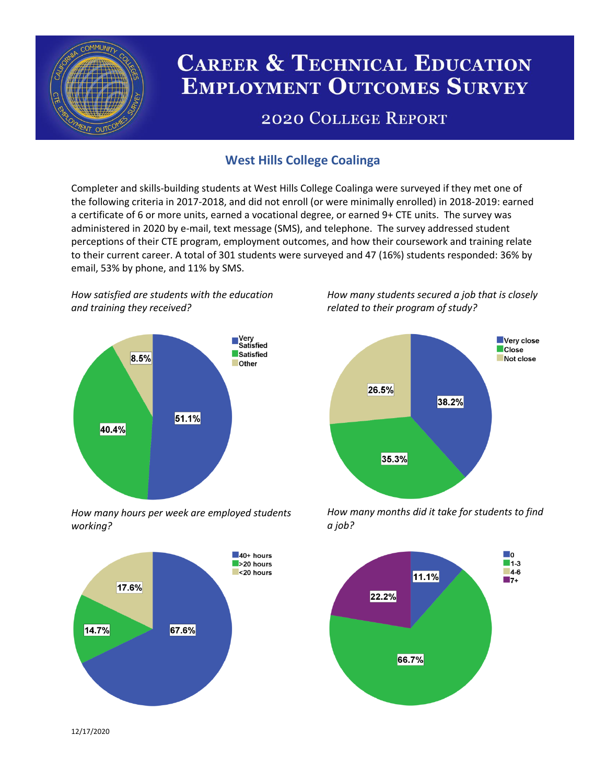

# **CAREER & TECHNICAL EDUCATION EMPLOYMENT OUTCOMES SURVEY**

## **2020 COLLEGE REPORT**

## **West Hills College Coalinga**

Completer and skills-building students at West Hills College Coalinga were surveyed if they met one of the following criteria in 2017-2018, and did not enroll (or were minimally enrolled) in 2018-2019: earned a certificate of 6 or more units, earned a vocational degree, or earned 9+ CTE units. The survey was administered in 2020 by e-mail, text message (SMS), and telephone. The survey addressed student perceptions of their CTE program, employment outcomes, and how their coursework and training relate to their current career. A total of 301 students were surveyed and 47 (16%) students responded: 36% by email, 53% by phone, and 11% by SMS.

*How satisfied are students with the education and training they received?*



*How many hours per week are employed students working?*



*How many students secured a job that is closely related to their program of study?*



*How many months did it take for students to find a job?*



12/17/2020